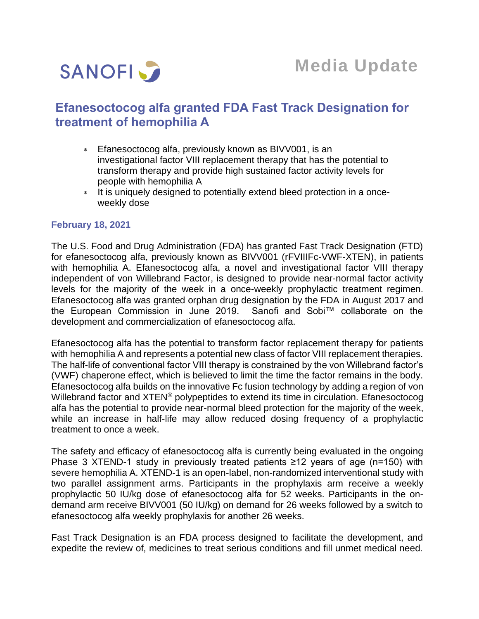

# **Efanesoctocog alfa granted FDA Fast Track Designation for treatment of hemophilia A**

- Efanesoctocog alfa, previously known as BIVV001, is an investigational factor VIII replacement therapy that has the potential to transform therapy and provide high sustained factor activity levels for people with hemophilia A
- It is uniquely designed to potentially extend bleed protection in a onceweekly dose

## **February 18, 2021**

The U.S. Food and Drug Administration (FDA) has granted Fast Track Designation (FTD) for efanesoctocog alfa, previously known as BIVV001 (rFVIIIFc-VWF-XTEN), in patients with hemophilia A. Efanesoctocog alfa, a novel and investigational factor VIII therapy independent of von Willebrand Factor, is designed to provide near-normal factor activity levels for the majority of the week in a once-weekly prophylactic treatment regimen. Efanesoctocog alfa was granted orphan drug designation by the FDA in August 2017 and the European Commission in June 2019. Sanofi and Sobi™ collaborate on the development and commercialization of efanesoctocog alfa.

Efanesoctocog alfa has the potential to transform factor replacement therapy for patients with hemophilia A and represents a potential new class of factor VIII replacement therapies. The half-life of conventional factor VIII therapy is constrained by the von Willebrand factor's (VWF) chaperone effect, which is believed to limit the time the factor remains in the body. Efanesoctocog alfa builds on the innovative Fc fusion technology by adding a region of von Willebrand factor and XTEN<sup>®</sup> polypeptides to extend its time in circulation. Efanesoctocog alfa has the potential to provide near-normal bleed protection for the majority of the week, while an increase in half-life may allow reduced dosing frequency of a prophylactic treatment to once a week.

The safety and efficacy of efanesoctocog alfa is currently being evaluated in the ongoing Phase 3 XTEND-1 study in previously treated patients ≥12 years of age (n=150) with severe hemophilia A. XTEND-1 is an open-label, non-randomized interventional study with two parallel assignment arms. Participants in the prophylaxis arm receive a weekly prophylactic 50 IU/kg dose of efanesoctocog alfa for 52 weeks. Participants in the ondemand arm receive BIVV001 (50 IU/kg) on demand for 26 weeks followed by a switch to efanesoctocog alfa weekly prophylaxis for another 26 weeks.

Fast Track Designation is an FDA process designed to facilitate the development, and expedite the review of, medicines to treat serious conditions and fill unmet medical need.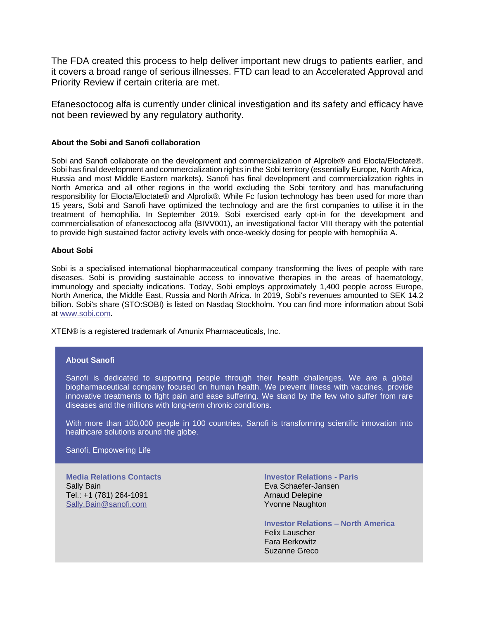The FDA created this process to help deliver important new drugs to patients earlier, and it covers a broad range of serious illnesses. FTD can lead to an Accelerated Approval and Priority Review if certain criteria are met.

Efanesoctocog alfa is currently under clinical investigation and its safety and efficacy have not been reviewed by any regulatory authority.

### **About the Sobi and Sanofi collaboration**

Sobi and Sanofi collaborate on the development and commercialization of Alprolix® and Elocta/Eloctate®. Sobi has final development and commercialization rights in the Sobi territory (essentially Europe, North Africa, Russia and most Middle Eastern markets). Sanofi has final development and commercialization rights in North America and all other regions in the world excluding the Sobi territory and has manufacturing responsibility for Elocta/Eloctate® and Alprolix®. While Fc fusion technology has been used for more than 15 years, Sobi and Sanofi have optimized the technology and are the first companies to utilise it in the treatment of hemophilia. In September 2019, Sobi exercised early opt-in for the development and commercialisation of efanesoctocog alfa (BIVV001), an investigational factor VIII therapy with the potential to provide high sustained factor activity levels with once-weekly dosing for people with hemophilia A.

#### **About Sobi**

Sobi is a specialised international biopharmaceutical company transforming the lives of people with rare diseases. Sobi is providing sustainable access to innovative therapies in the areas of haematology, immunology and specialty indications. Today, Sobi employs approximately 1,400 people across Europe, North America, the Middle East, Russia and North Africa. In 2019, Sobi's revenues amounted to SEK 14.2 billion. Sobi's share (STO:SOBI) is listed on Nasdaq Stockholm. You can find more information about Sobi at [www.sobi.com.](http://www.sobi.com/)

XTEN® is a registered trademark of Amunix Pharmaceuticals, Inc.

#### **About Sanofi**

Sanofi is dedicated to supporting people through their health challenges. We are a global biopharmaceutical company focused on human health. We prevent illness with vaccines, provide innovative treatments to fight pain and ease suffering. We stand by the few who suffer from rare diseases and the millions with long-term chronic conditions.

With more than 100,000 people in 100 countries, Sanofi is transforming scientific innovation into healthcare solutions around the globe.

Sanofi, Empowering Life

**Media Relations Contacts** Sally Bain Tel.: +1 (781) 264-1091 [Sally.Bain@sanofi.com](mailto:Sally.Bain@sanofi.com)

**Investor Relations - Paris** Eva Schaefer-Jansen Arnaud Delepine Yvonne Naughton

**Investor Relations – North America** Felix Lauscher Fara Berkowitz Suzanne Greco